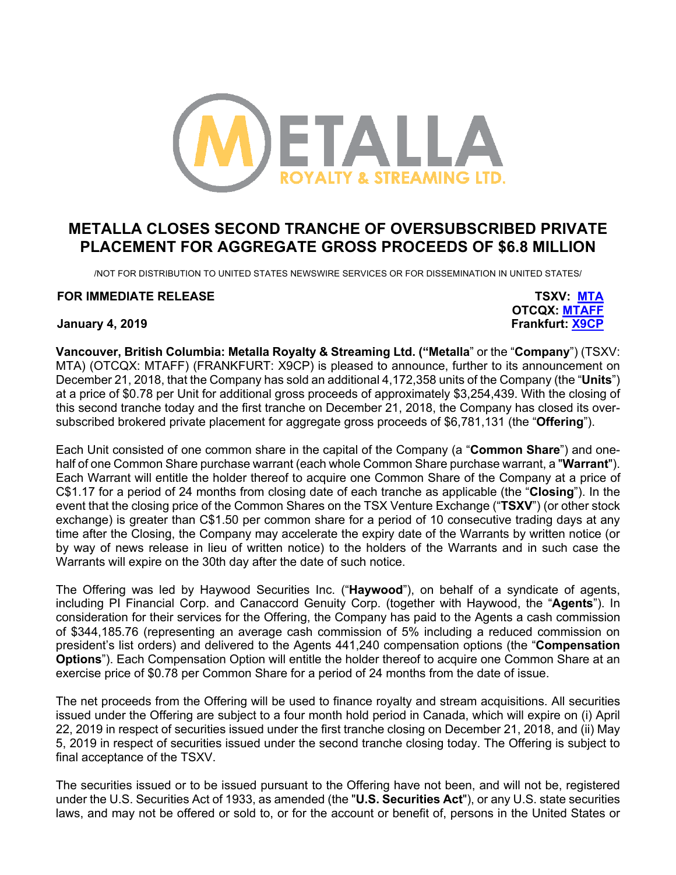

# **METALLA CLOSES SECOND TRANCHE OF OVERSUBSCRIBED PRIVATE PLACEMENT FOR AGGREGATE GROSS PROCEEDS OF \$6.8 MILLION**

/NOT FOR DISTRIBUTION TO UNITED STATES NEWSWIRE SERVICES OR FOR DISSEMINATION IN UNITED STATES/

## **FOR IMMEDIATE RELEASE TSXV: MTA**

**OTCQX: MTAFF January 4, 2019 Frankfurt: X9CP**

**Vancouver, British Columbia: Metalla Royalty & Streaming Ltd. ("Metalla**" or the "**Company**") (TSXV: MTA) (OTCQX: MTAFF) (FRANKFURT: X9CP) is pleased to announce, further to its announcement on December 21, 2018, that the Company has sold an additional 4,172,358 units of the Company (the "**Units**") at a price of \$0.78 per Unit for additional gross proceeds of approximately \$3,254,439. With the closing of this second tranche today and the first tranche on December 21, 2018, the Company has closed its oversubscribed brokered private placement for aggregate gross proceeds of \$6,781,131 (the "**Offering**").

Each Unit consisted of one common share in the capital of the Company (a "**Common Share**") and onehalf of one Common Share purchase warrant (each whole Common Share purchase warrant, a "**Warrant**"). Each Warrant will entitle the holder thereof to acquire one Common Share of the Company at a price of C\$1.17 for a period of 24 months from closing date of each tranche as applicable (the "**Closing**"). In the event that the closing price of the Common Shares on the TSX Venture Exchange ("**TSXV**") (or other stock exchange) is greater than C\$1.50 per common share for a period of 10 consecutive trading days at any time after the Closing, the Company may accelerate the expiry date of the Warrants by written notice (or by way of news release in lieu of written notice) to the holders of the Warrants and in such case the Warrants will expire on the 30th day after the date of such notice.

The Offering was led by Haywood Securities Inc. ("**Haywood**"), on behalf of a syndicate of agents, including PI Financial Corp. and Canaccord Genuity Corp. (together with Haywood, the "**Agents**"). In consideration for their services for the Offering, the Company has paid to the Agents a cash commission of \$344,185.76 (representing an average cash commission of 5% including a reduced commission on president's list orders) and delivered to the Agents 441,240 compensation options (the "**Compensation Options**"). Each Compensation Option will entitle the holder thereof to acquire one Common Share at an exercise price of \$0.78 per Common Share for a period of 24 months from the date of issue.

The net proceeds from the Offering will be used to finance royalty and stream acquisitions. All securities issued under the Offering are subject to a four month hold period in Canada, which will expire on (i) April 22, 2019 in respect of securities issued under the first tranche closing on December 21, 2018, and (ii) May 5, 2019 in respect of securities issued under the second tranche closing today. The Offering is subject to final acceptance of the TSXV.

The securities issued or to be issued pursuant to the Offering have not been, and will not be, registered under the U.S. Securities Act of 1933, as amended (the "**U.S. Securities Act**"), or any U.S. state securities laws, and may not be offered or sold to, or for the account or benefit of, persons in the United States or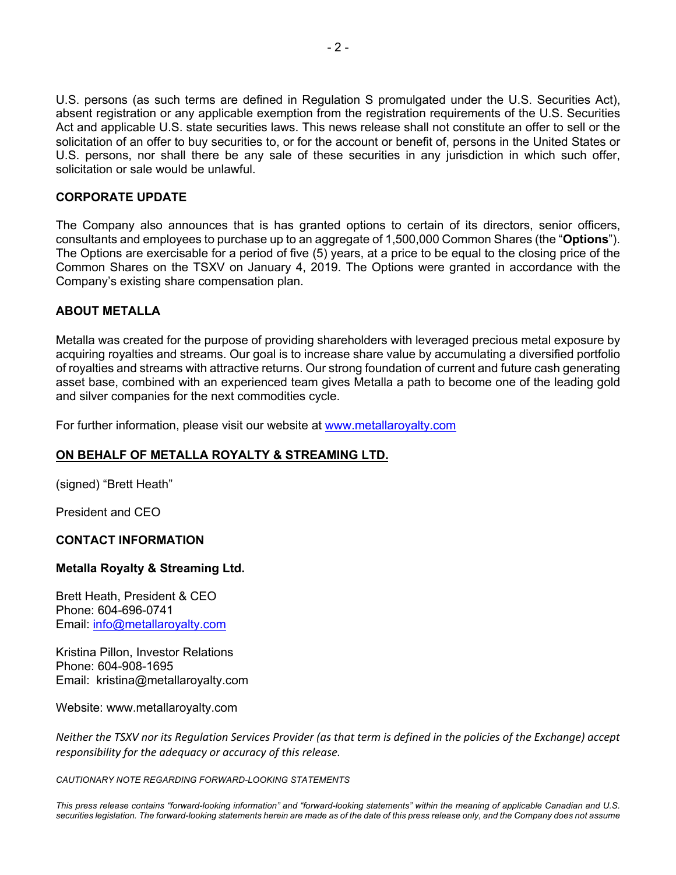U.S. persons (as such terms are defined in Regulation S promulgated under the U.S. Securities Act), absent registration or any applicable exemption from the registration requirements of the U.S. Securities Act and applicable U.S. state securities laws. This news release shall not constitute an offer to sell or the solicitation of an offer to buy securities to, or for the account or benefit of, persons in the United States or U.S. persons, nor shall there be any sale of these securities in any jurisdiction in which such offer, solicitation or sale would be unlawful.

## **CORPORATE UPDATE**

The Company also announces that is has granted options to certain of its directors, senior officers, consultants and employees to purchase up to an aggregate of 1,500,000 Common Shares (the "**Options**"). The Options are exercisable for a period of five (5) years, at a price to be equal to the closing price of the Common Shares on the TSXV on January 4, 2019. The Options were granted in accordance with the Company's existing share compensation plan.

## **ABOUT METALLA**

Metalla was created for the purpose of providing shareholders with leveraged precious metal exposure by acquiring royalties and streams. Our goal is to increase share value by accumulating a diversified portfolio of royalties and streams with attractive returns. Our strong foundation of current and future cash generating asset base, combined with an experienced team gives Metalla a path to become one of the leading gold and silver companies for the next commodities cycle.

For further information, please visit our website at www.metallaroyalty.com

## **ON BEHALF OF METALLA ROYALTY & STREAMING LTD.**

(signed) "Brett Heath"

President and CEO

## **CONTACT INFORMATION**

## **Metalla Royalty & Streaming Ltd.**

Brett Heath, President & CEO Phone: 604-696-0741 Email: info@metallaroyalty.com

Kristina Pillon, Investor Relations Phone: 604-908-1695 Email: kristina@metallaroyalty.com

Website: www.metallaroyalty.com

*Neither the TSXV nor its Regulation Services Provider (as that term is defined in the policies of the Exchange) accept responsibility for the adequacy or accuracy of this release.*

*CAUTIONARY NOTE REGARDING FORWARD-LOOKING STATEMENTS*